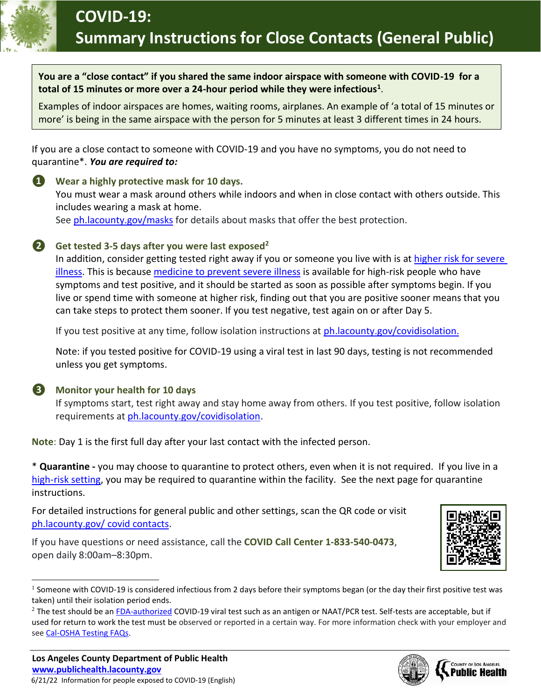

**You are a "close contact" if you shared the same indoor airspace with someone with COVID-19 for a total of 15 minutes or more over a 24-hour period while they were infectious<sup>1</sup>** .

Examples of indoor airspaces are homes, waiting rooms, airplanes. An example of 'a total of 15 minutes or more' is being in the same airspace with the person for 5 minutes at least 3 different times in 24 hours.

If you are a close contact to someone with COVID-19 and you have no symptoms, you do not need to quarantine\*. *You are required to:*

**❶ Wear a highly protective mask for 10 days.** You must wear a mask around others while indoors and when in close contact with others outside. This includes wearing a mask at home. See [ph.lacounty.gov/masks](http://publichealth.lacounty.gov/acd/ncorona2019/masks/) for details about masks that offer the best protection.

## **❷ Get tested 3-5 days after you were last exposed<sup>2</sup>**

In addition, consider getting tested right away if you or someone you live with is at higher risk for severe [illness.](https://www.cdc.gov/coronavirus/2019-ncov/need-extra-precautions/index.html) This is because [medicine to prevent severe illness](http://publichealth.lacounty.gov/acd/ncorona2019/Medication/) is available for high-risk people who have symptoms and test positive, and it should be started as soon as possible after symptoms begin. If you live or spend time with someone at higher risk, finding out that you are positive sooner means that you can take steps to protect them sooner. If you test negative, test again on or after Day 5.

If you test positive at any time, follow isolation instructions at ph. lacounty.gov/covidisolation.

Note: if you tested positive for COVID-19 using a viral test in last 90 days, testing is not recommended unless you get symptoms.

### **❸ Monitor your health for 10 days**

If symptoms start, test right away and stay home away from others. If you test positive, follow isolation requirements at [ph.lacounty.gov/covidisolation.](http://publichealth.lacounty.gov/acd/ncorona2019/covidisolation/)

**Note**: Day 1 is the first full day after your last contact with the infected person.

\* **Quarantine -** you may choose to quarantine to protect others, even when it is not required. If you live in a [high-risk setting,](http://publichealth.lacounty.gov/acd/ncorona2019/covidquarantine/other/) you may be required to quarantine within the facility. See the next page for quarantine instructions.

For detailed instructions for general public and other settings, scan the QR code or visit [ph.lacounty.gov/](http://publichealth.lacounty.gov/acd/ncorona2019/covidquarantine/) covid contacts.

If you have questions or need assistance, call the **COVID Call Center 1-833-540-0473**, open daily 8:00am–8:30pm.



 $^1$  Someone with COVID-19 is considered infectious from 2 days before their symptoms began (or the day their first positive test was taken) until their isolation period ends.



<sup>&</sup>lt;sup>2</sup> The test should be an [FDA-authorized](https://www.fda.gov/medical-devices/coronavirus-disease-2019-covid-19-emergency-use-authorizations-medical-devices/in-vitro-diagnostics-euas) COVID-19 viral test such as an antigen or NAAT/PCR test. Self-tests are acceptable, but if used for return to work the test must be observed or reported in a certain way. For more information check with your employer and see [Cal-OSHA Testing FAQs.](https://www.dir.ca.gov/dosh/coronavirus/covid19faqs.html#testing)